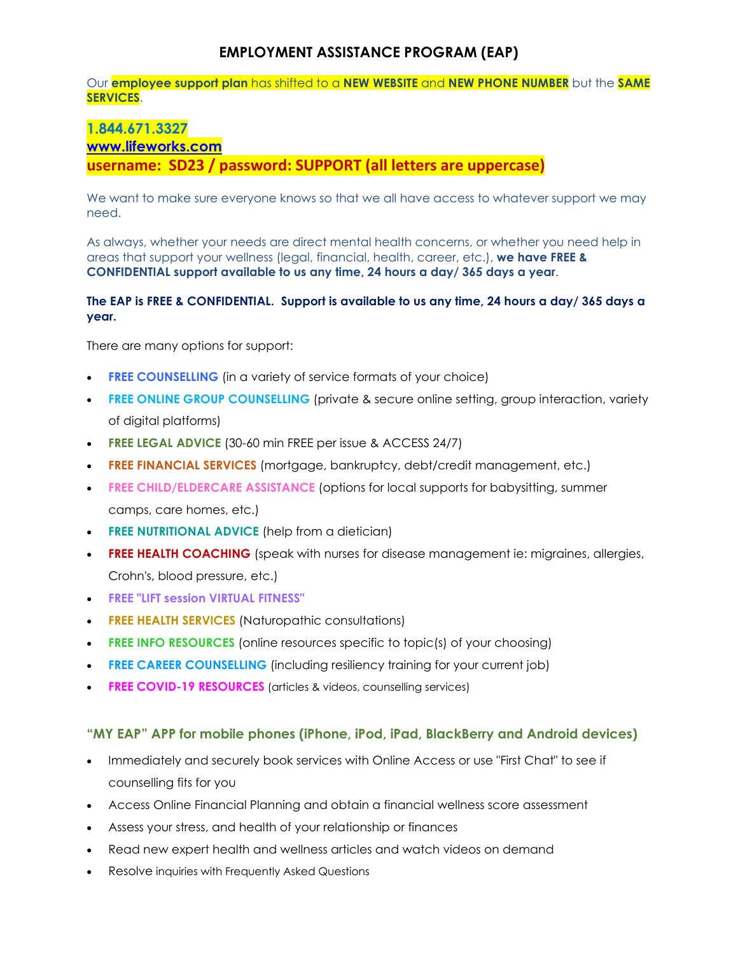# **EMPLOYMENT ASSISTANCE PROGRAM (EAP)**

Our **employee support plan** has shifted to a **NEW WEBSITE** and **NEW PHONE NUMBER** but the **SAME SERVICES**.

# **1.844.671.3327 [www.lifeworks.com](https://can01.safelinks.protection.outlook.com/?url=http%3A%2F%2Fwww.lifeworks.com%2F&data=04%7C01%7CCupe.Office%40sd23.bc.ca%7C1c531239dcbd4b155cb008d9f25c686e%7Ca88c6e7e8efc4bc7956fe8170457f178%7C0%7C0%7C637807300966524281%7CUnknown%7CTWFpbGZsb3d8eyJWIjoiMC4wLjAwMDAiLCJQIjoiV2luMzIiLCJBTiI6Ik1haWwiLCJXVCI6Mn0%3D%7C3000&sdata=EijP0xCjo1h%2BNwpPs0EHzloekXunGuZUEPrGWPYh6P4%3D&reserved=0) username: SD23 / password: SUPPORT (all letters are uppercase)**

We want to make sure everyone knows so that we all have access to whatever support we may need.

As always, whether your needs are direct mental health concerns, or whether you need help in areas that support your wellness (legal, financial, health, career, etc.), **we have FREE & CONFIDENTIAL support available to us any time, 24 hours a day/ 365 days a year**.

## **The EAP is FREE & CONFIDENTIAL. Support is available to us any time, 24 hours a day/ 365 days a year.**

There are many options for support:

- **FREE COUNSELLING** (in a variety of service formats of your choice)
- **FREE ONLINE GROUP COUNSELLING** (private & secure online setting, group interaction, variety of digital platforms)
- **FREE LEGAL ADVICE** (30-60 min FREE per issue & ACCESS 24/7)
- **FREE FINANCIAL SERVICES** (mortgage, bankruptcy, debt/credit management, etc.)
- **FREE CHILD/ELDERCARE ASSISTANCE** (options for local supports for babysitting, summer camps, care homes, etc.)
- **FREE NUTRITIONAL ADVICE** (help from a dietician)
- **FREE HEALTH COACHING** (speak with nurses for disease management ie: migraines, allergies, Crohn's, blood pressure, etc.)
- **FREE "LIFT session VIRTUAL FITNESS"**
- **FREE HEALTH SERVICES** (Naturopathic consultations)
- **FREE INFO RESOURCES** (online resources specific to topic(s) of your choosing)
- **FREE CAREER COUNSELLING** (including resiliency training for your current job)
- **FREE COVID-19 RESOURCES** (articles & videos, counselling services)

## **"MY EAP" APP for mobile phones (iPhone, iPod, iPad, BlackBerry and Android devices)**

- Immediately and securely book services with Online Access or use "First Chat" to see if counselling fits for you
- Access Online Financial Planning and obtain a financial wellness score assessment
- Assess your stress, and health of your relationship or finances
- Read new expert health and wellness articles and watch videos on demand
- Resolve inquiries with Frequently Asked Questions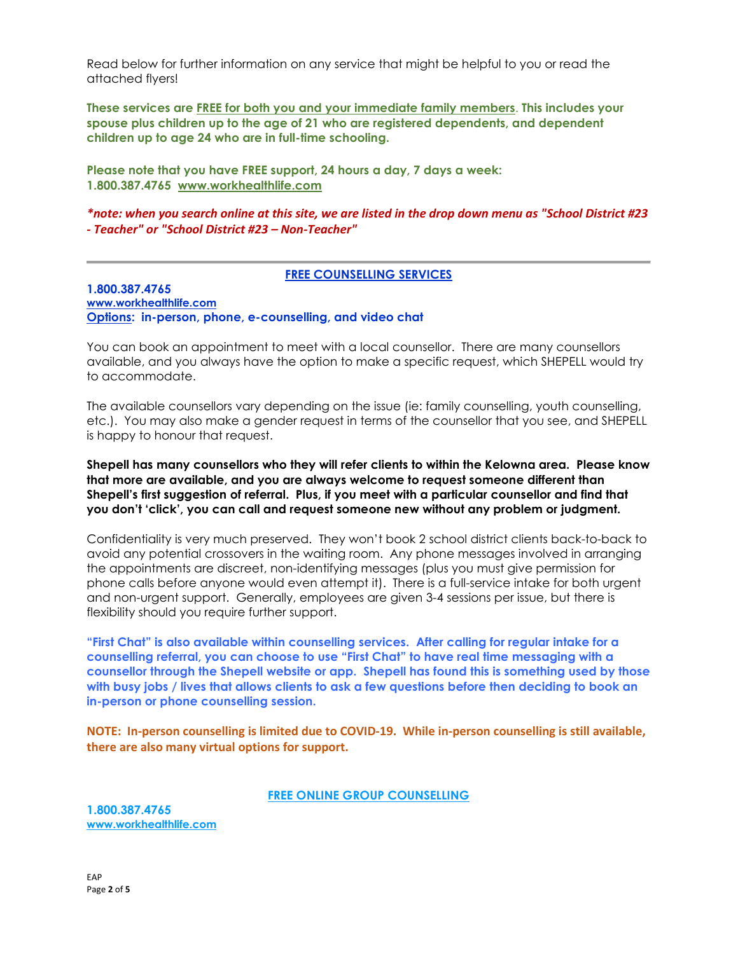Read below for further information on any service that might be helpful to you or read the attached flyers!

**These services are FREE for both you and your immediate family members**. **This includes your spouse plus children up to the age of 21 who are registered dependents, and dependent children up to age 24 who are in full-time schooling.**

**Please note that you have FREE support, 24 hours a day, 7 days a week: 1.800.387.4765 [www.workhealthlife.com](https://can01.safelinks.protection.outlook.com/?url=http%3A%2F%2Fwww.workhealthlife.com%2F&data=04%7C01%7CTeri.Wishlow%40sd23.bc.ca%7C5e5ff7422062430e74c308d98e7d6b9f%7Ca88c6e7e8efc4bc7956fe8170457f178%7C0%7C0%7C637697491595566160%7CUnknown%7CTWFpbGZsb3d8eyJWIjoiMC4wLjAwMDAiLCJQIjoiV2luMzIiLCJBTiI6Ik1haWwiLCJXVCI6Mn0%3D%7C1000&sdata=cPklYJklvbwdshCiWoptK5zvq3%2FscluRPlkVF2R%2FinU%3D&reserved=0)**

*\*note: when you search online at this site, we are listed in the drop down menu as "School District #23 - Teacher" or "School District #23 – Non-Teacher"*

### **FREE COUNSELLING SERVICES**

**1.800.387.4765 [www.workhealthlife.com](https://can01.safelinks.protection.outlook.com/?url=http%3A%2F%2Fwww.workhealthlife.com%2F&data=04%7C01%7CTeri.Wishlow%40sd23.bc.ca%7C5e5ff7422062430e74c308d98e7d6b9f%7Ca88c6e7e8efc4bc7956fe8170457f178%7C0%7C0%7C637697491595576155%7CUnknown%7CTWFpbGZsb3d8eyJWIjoiMC4wLjAwMDAiLCJQIjoiV2luMzIiLCJBTiI6Ik1haWwiLCJXVCI6Mn0%3D%7C1000&sdata=ih6VZoHRhHxY1kKNMjGTdQ8hFetem5Sgvj3yRSKIpBw%3D&reserved=0) Options: in-person, phone, e-counselling, and video chat**

You can book an appointment to meet with a local counsellor. There are many counsellors available, and you always have the option to make a specific request, which SHEPELL would try to accommodate.

The available counsellors vary depending on the issue (ie: family counselling, youth counselling, etc.). You may also make a gender request in terms of the counsellor that you see, and SHEPELL is happy to honour that request.

**Shepell has many counsellors who they will refer clients to within the Kelowna area. Please know that more are available, and you are always welcome to request someone different than Shepell's first suggestion of referral. Plus, if you meet with a particular counsellor and find that you don't 'click', you can call and request someone new without any problem or judgment.**

Confidentiality is very much preserved. They won't book 2 school district clients back-to-back to avoid any potential crossovers in the waiting room. Any phone messages involved in arranging the appointments are discreet, non-identifying messages (plus you must give permission for phone calls before anyone would even attempt it). There is a full-service intake for both urgent and non-urgent support. Generally, employees are given 3-4 sessions per issue, but there is flexibility should you require further support.

**"First Chat" is also available within counselling services. After calling for regular intake for a counselling referral, you can choose to use "First Chat" to have real time messaging with a counsellor through the Shepell website or app. Shepell has found this is something used by those with busy jobs / lives that allows clients to ask a few questions before then deciding to book an in-person or phone counselling session.**

**NOTE: In-person counselling is limited due to COVID-19. While in-person counselling is still available, there are also many virtual options for support.**

**FREE ONLINE GROUP COUNSELLING**

**1.800.387.4765 [www.workhealthlife.com](https://can01.safelinks.protection.outlook.com/?url=http%3A%2F%2Fwww.workhealthlife.com%2F&data=04%7C01%7CTeri.Wishlow%40sd23.bc.ca%7C5e5ff7422062430e74c308d98e7d6b9f%7Ca88c6e7e8efc4bc7956fe8170457f178%7C0%7C0%7C637697491595576155%7CUnknown%7CTWFpbGZsb3d8eyJWIjoiMC4wLjAwMDAiLCJQIjoiV2luMzIiLCJBTiI6Ik1haWwiLCJXVCI6Mn0%3D%7C1000&sdata=ih6VZoHRhHxY1kKNMjGTdQ8hFetem5Sgvj3yRSKIpBw%3D&reserved=0)**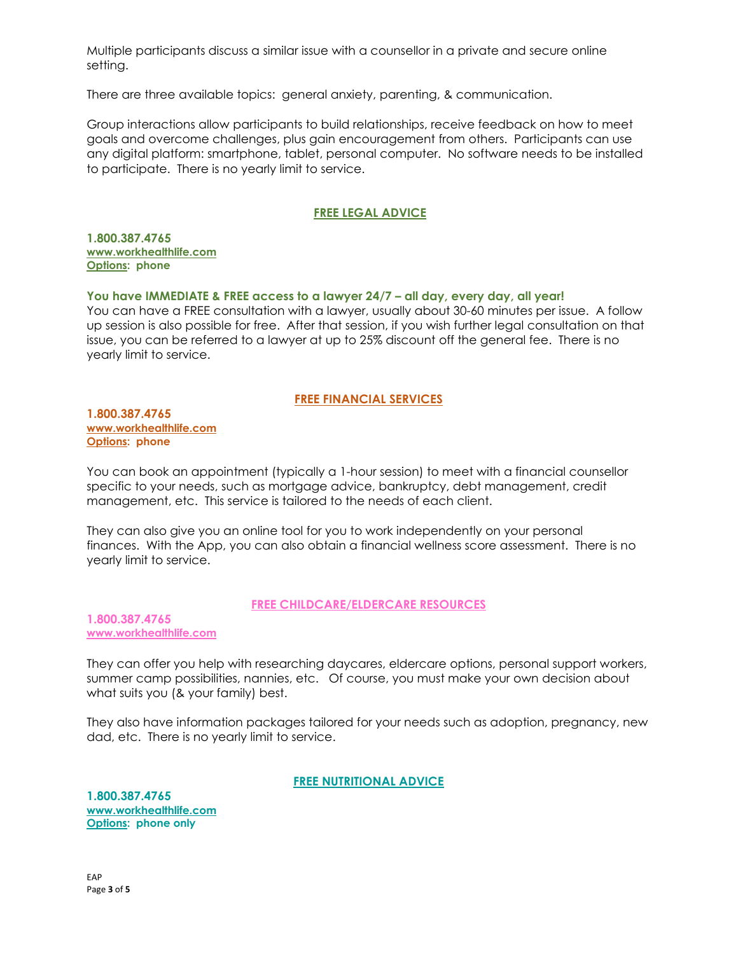Multiple participants discuss a similar issue with a counsellor in a private and secure online setting.

There are three available topics: general anxiety, parenting, & communication.

Group interactions allow participants to build relationships, receive feedback on how to meet goals and overcome challenges, plus gain encouragement from others. Participants can use any digital platform: smartphone, tablet, personal computer. No software needs to be installed to participate. There is no yearly limit to service.

# **FREE LEGAL ADVICE**

**1.800.387.4765 [www.workhealthlife.com](https://can01.safelinks.protection.outlook.com/?url=http%3A%2F%2Fwww.workhealthlife.com%2F&data=04%7C01%7CTeri.Wishlow%40sd23.bc.ca%7C5e5ff7422062430e74c308d98e7d6b9f%7Ca88c6e7e8efc4bc7956fe8170457f178%7C0%7C0%7C637697491595586148%7CUnknown%7CTWFpbGZsb3d8eyJWIjoiMC4wLjAwMDAiLCJQIjoiV2luMzIiLCJBTiI6Ik1haWwiLCJXVCI6Mn0%3D%7C1000&sdata=8gumyKWNUYZOzKESIPEsx8Bfsxk5xs3Dp196rPX1zN8%3D&reserved=0) Options: phone**

**You have IMMEDIATE & FREE access to a lawyer 24/7 – all day, every day, all year!** 

You can have a FREE consultation with a lawyer, usually about 30-60 minutes per issue. A follow up session is also possible for free. After that session, if you wish further legal consultation on that issue, you can be referred to a lawyer at up to 25% discount off the general fee. There is no yearly limit to service.

### **FREE FINANCIAL SERVICES**

**1.800.387.4765 [www.workhealthlife.com](https://can01.safelinks.protection.outlook.com/?url=http%3A%2F%2Fwww.workhealthlife.com%2F&data=04%7C01%7CTeri.Wishlow%40sd23.bc.ca%7C5e5ff7422062430e74c308d98e7d6b9f%7Ca88c6e7e8efc4bc7956fe8170457f178%7C0%7C0%7C637697491595586148%7CUnknown%7CTWFpbGZsb3d8eyJWIjoiMC4wLjAwMDAiLCJQIjoiV2luMzIiLCJBTiI6Ik1haWwiLCJXVCI6Mn0%3D%7C1000&sdata=8gumyKWNUYZOzKESIPEsx8Bfsxk5xs3Dp196rPX1zN8%3D&reserved=0) Options: phone**

You can book an appointment (typically a 1-hour session) to meet with a financial counsellor specific to your needs, such as mortgage advice, bankruptcy, debt management, credit management, etc. This service is tailored to the needs of each client.

They can also give you an online tool for you to work independently on your personal finances. With the App, you can also obtain a financial wellness score assessment. There is no yearly limit to service.

### **FREE CHILDCARE/ELDERCARE RESOURCES**

**1.800.387.4765 [www.workhealthlife.com](https://can01.safelinks.protection.outlook.com/?url=http%3A%2F%2Fwww.workhealthlife.com%2F&data=04%7C01%7CTeri.Wishlow%40sd23.bc.ca%7C5e5ff7422062430e74c308d98e7d6b9f%7Ca88c6e7e8efc4bc7956fe8170457f178%7C0%7C0%7C637697491595596148%7CUnknown%7CTWFpbGZsb3d8eyJWIjoiMC4wLjAwMDAiLCJQIjoiV2luMzIiLCJBTiI6Ik1haWwiLCJXVCI6Mn0%3D%7C1000&sdata=SvlXjHQFiwn5xt7sGD%2FQC6g1gHrPcciykBz4MuES8D8%3D&reserved=0)**

They can offer you help with researching daycares, eldercare options, personal support workers, summer camp possibilities, nannies, etc. Of course, you must make your own decision about what suits you (& your family) best.

They also have information packages tailored for your needs such as adoption, pregnancy, new dad, etc. There is no yearly limit to service.

**FREE NUTRITIONAL ADVICE**

**1.800.387.4765 [www.workhealthlife.com](https://can01.safelinks.protection.outlook.com/?url=http%3A%2F%2Fwww.workhealthlife.com%2F&data=04%7C01%7CTeri.Wishlow%40sd23.bc.ca%7C5e5ff7422062430e74c308d98e7d6b9f%7Ca88c6e7e8efc4bc7956fe8170457f178%7C0%7C0%7C637697491595596148%7CUnknown%7CTWFpbGZsb3d8eyJWIjoiMC4wLjAwMDAiLCJQIjoiV2luMzIiLCJBTiI6Ik1haWwiLCJXVCI6Mn0%3D%7C1000&sdata=SvlXjHQFiwn5xt7sGD%2FQC6g1gHrPcciykBz4MuES8D8%3D&reserved=0) Options: phone only**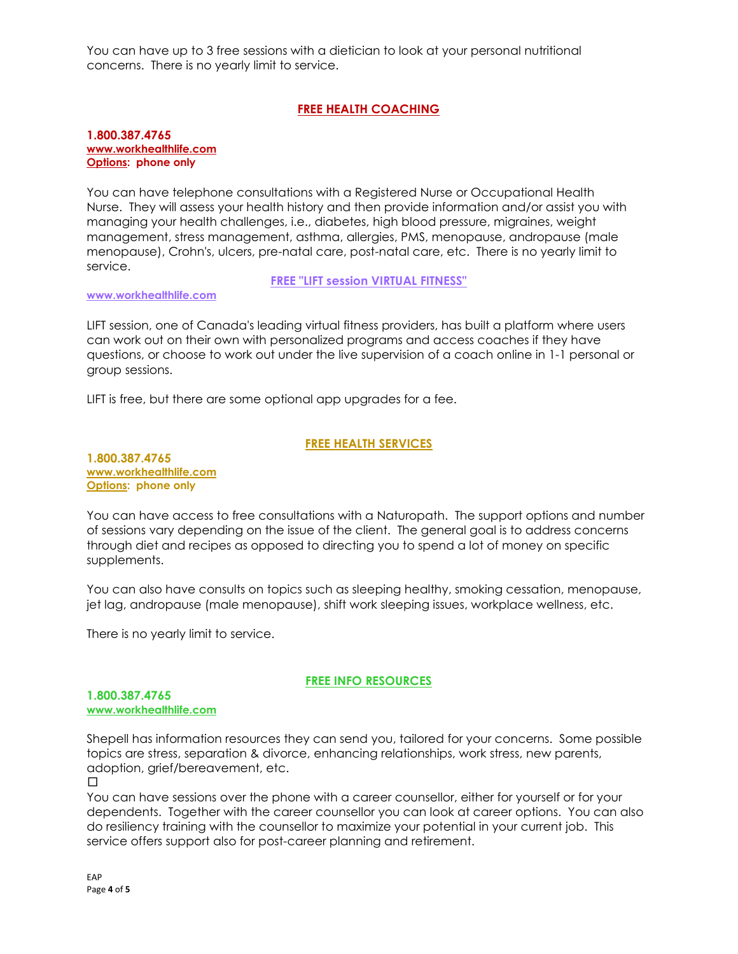You can have up to 3 free sessions with a dietician to look at your personal nutritional concerns. There is no yearly limit to service.

# **FREE HEALTH COACHING**

#### **1.800.387.4765 [www.workhealthlife.com](https://can01.safelinks.protection.outlook.com/?url=http%3A%2F%2Fwww.workhealthlife.com%2F&data=04%7C01%7CTeri.Wishlow%40sd23.bc.ca%7C5e5ff7422062430e74c308d98e7d6b9f%7Ca88c6e7e8efc4bc7956fe8170457f178%7C0%7C0%7C637697491595606136%7CUnknown%7CTWFpbGZsb3d8eyJWIjoiMC4wLjAwMDAiLCJQIjoiV2luMzIiLCJBTiI6Ik1haWwiLCJXVCI6Mn0%3D%7C1000&sdata=NmSt07a2XkoU5Dv06Y%2BlhZ1KsGNYRTrNmMnuKaZYq5k%3D&reserved=0) Options: phone only**

You can have telephone consultations with a Registered Nurse or Occupational Health Nurse. They will assess your health history and then provide information and/or assist you with managing your health challenges, i.e., diabetes, high blood pressure, migraines, weight management, stress management, asthma, allergies, PMS, menopause, andropause (male menopause), Crohn's, ulcers, pre-natal care, post-natal care, etc. There is no yearly limit to service.

**FREE "LIFT session VIRTUAL FITNESS"**

### **[www.workhealthlife.com](https://can01.safelinks.protection.outlook.com/?url=http%3A%2F%2Fwww.workhealthlife.com%2F&data=04%7C01%7CTeri.Wishlow%40sd23.bc.ca%7C5e5ff7422062430e74c308d98e7d6b9f%7Ca88c6e7e8efc4bc7956fe8170457f178%7C0%7C0%7C637697491595606136%7CUnknown%7CTWFpbGZsb3d8eyJWIjoiMC4wLjAwMDAiLCJQIjoiV2luMzIiLCJBTiI6Ik1haWwiLCJXVCI6Mn0%3D%7C1000&sdata=NmSt07a2XkoU5Dv06Y%2BlhZ1KsGNYRTrNmMnuKaZYq5k%3D&reserved=0)**

LIFT session, one of Canada's leading virtual fitness providers, has built a platform where users can work out on their own with personalized programs and access coaches if they have questions, or choose to work out under the live supervision of a coach online in 1-1 personal or group sessions.

LIFT is free, but there are some optional app upgrades for a fee.

## **FREE HEALTH SERVICES**

**1.800.387.4765 [www.workhealthlife.com](https://can01.safelinks.protection.outlook.com/?url=http%3A%2F%2Fwww.workhealthlife.com%2F&data=04%7C01%7CTeri.Wishlow%40sd23.bc.ca%7C5e5ff7422062430e74c308d98e7d6b9f%7Ca88c6e7e8efc4bc7956fe8170457f178%7C0%7C0%7C637697491595616130%7CUnknown%7CTWFpbGZsb3d8eyJWIjoiMC4wLjAwMDAiLCJQIjoiV2luMzIiLCJBTiI6Ik1haWwiLCJXVCI6Mn0%3D%7C1000&sdata=Dicjt08hTkGC8go2DQL5EDrIrYSBwUO6bOPWArsL5sw%3D&reserved=0) Options: phone only**

You can have access to free consultations with a Naturopath. The support options and number of sessions vary depending on the issue of the client. The general goal is to address concerns through diet and recipes as opposed to directing you to spend a lot of money on specific supplements.

You can also have consults on topics such as sleeping healthy, smoking cessation, menopause, jet lag, andropause (male menopause), shift work sleeping issues, workplace wellness, etc.

There is no yearly limit to service.

## **FREE INFO RESOURCES**

### **1.800.387.4765 [www.workhealthlife.com](https://can01.safelinks.protection.outlook.com/?url=http%3A%2F%2Fwww.workhealthlife.com%2F&data=04%7C01%7CTeri.Wishlow%40sd23.bc.ca%7C5e5ff7422062430e74c308d98e7d6b9f%7Ca88c6e7e8efc4bc7956fe8170457f178%7C0%7C0%7C637697491595616130%7CUnknown%7CTWFpbGZsb3d8eyJWIjoiMC4wLjAwMDAiLCJQIjoiV2luMzIiLCJBTiI6Ik1haWwiLCJXVCI6Mn0%3D%7C1000&sdata=Dicjt08hTkGC8go2DQL5EDrIrYSBwUO6bOPWArsL5sw%3D&reserved=0)**

Shepell has information resources they can send you, tailored for your concerns. Some possible topics are stress, separation & divorce, enhancing relationships, work stress, new parents, adoption, grief/bereavement, etc.

 $\Box$ 

You can have sessions over the phone with a career counsellor, either for yourself or for your dependents. Together with the career counsellor you can look at career options. You can also do resiliency training with the counsellor to maximize your potential in your current job. This service offers support also for post-career planning and retirement.